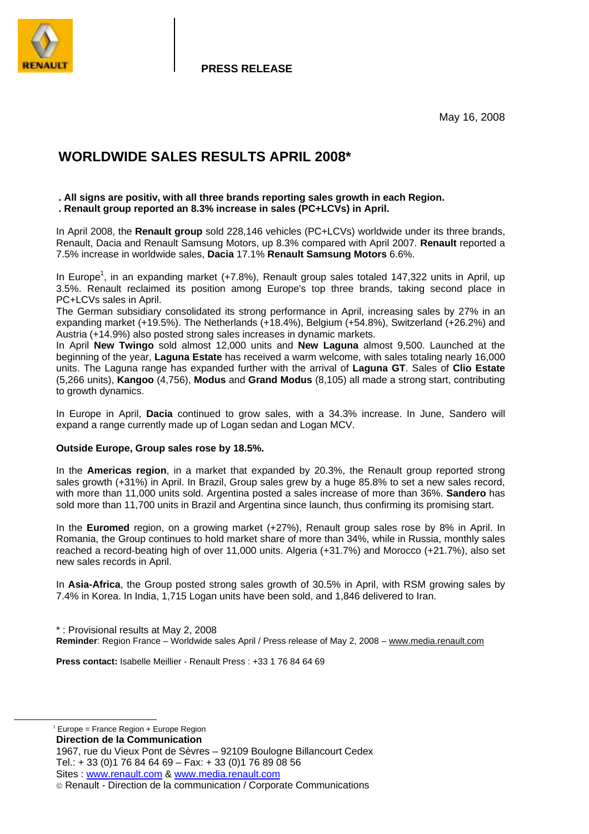

**PRESS RELEASE**

May 16, 2008

# **WORLDWIDE SALES RESULTS APRIL 2008\***

#### **. All signs are positiv, with all three brands reporting sales growth in each Region. . Renault group reported an 8.3% increase in sales (PC+LCVs) in April.**

In April 2008, the **Renault group** sold 228,146 vehicles (PC+LCVs) worldwide under its three brands, Renault, Dacia and Renault Samsung Motors, up 8.3% compared with April 2007. **Renault** reported a 7.5% increase in worldwide sales, **Dacia** 17.1% **Renault Samsung Motors** 6.6%.

In Europe<sup>1</sup>, in an expanding market (+7.8%), Renault group sales totaled 147,322 units in April, up 3.5%. Renault reclaimed its position among Europe's top three brands, taking second place in PC+LCVs sales in April.

The German subsidiary consolidated its strong performance in April, increasing sales by 27% in an expanding market (+19.5%). The Netherlands (+18.4%), Belgium (+54.8%), Switzerland (+26.2%) and Austria (+14.9%) also posted strong sales increases in dynamic markets.

In April **New Twingo** sold almost 12,000 units and **New Laguna** almost 9,500. Launched at the beginning of the year, **Laguna Estate** has received a warm welcome, with sales totaling nearly 16,000 units. The Laguna range has expanded further with the arrival of **Laguna GT**. Sales of **Clio Estate** (5,266 units), **Kangoo** (4,756), **Modus** and **Grand Modus** (8,105) all made a strong start, contributing to growth dynamics.

In Europe in April, **Dacia** continued to grow sales, with a 34.3% increase. In June, Sandero will expand a range currently made up of Logan sedan and Logan MCV.

### **Outside Europe, Group sales rose by 18.5%.**

In the **Americas region**, in a market that expanded by 20.3%, the Renault group reported strong sales growth (+31%) in April. In Brazil, Group sales grew by a huge 85.8% to set a new sales record, with more than 11,000 units sold. Argentina posted a sales increase of more than 36%. **Sandero** has sold more than 11,700 units in Brazil and Argentina since launch, thus confirming its promising start.

In the **Euromed** region, on a growing market (+27%), Renault group sales rose by 8% in April. In Romania, the Group continues to hold market share of more than 34%, while in Russia, monthly sales reached a record-beating high of over 11,000 units. Algeria (+31.7%) and Morocco (+21.7%), also set new sales records in April.

In **Asia-Africa**, the Group posted strong sales growth of 30.5% in April, with RSM growing sales by 7.4% in Korea. In India, 1,715 Logan units have been sold, and 1,846 delivered to Iran.

\* : Provisional results at May 2, 2008 **Reminder**: Region France – Worldwide sales April / Press release of May 2, 2008 – www.media.renault.com

**Press contact:** Isabelle Meillier - Renault Press : +33 1 76 84 64 69

 $1$  Europe = France Region + Europe Region

**Direction de la Communication** 

1967, rue du Vieux Pont de Sèvres – 92109 Boulogne Billancourt Cedex Tel.: + 33 (0)1 76 84 64 69 – Fax: + 33 (0)1 76 89 08 56 Sites : www.renault.com & www.media.renault.com

Renault - Direction de la communication / Corporate Communications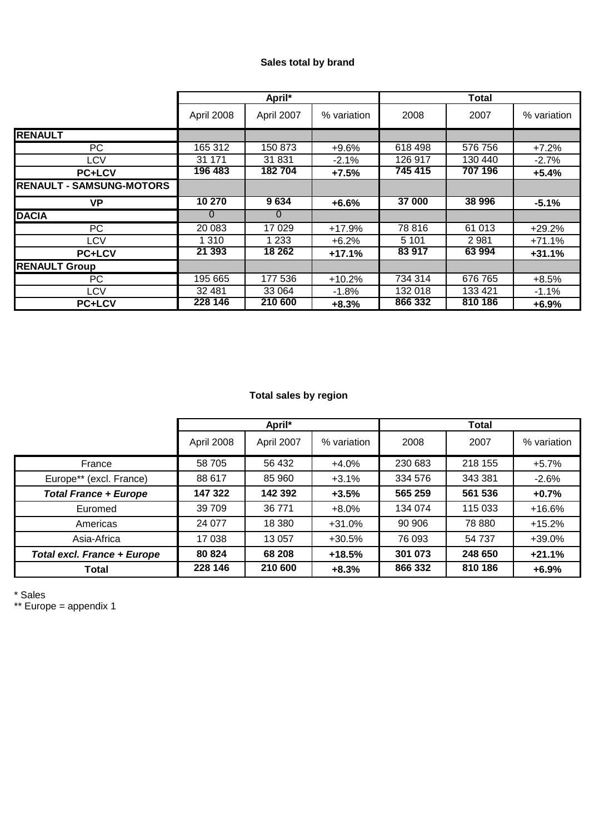## **Sales total by brand**

|                                 | April*     |            |             | <b>Total</b> |         |             |
|---------------------------------|------------|------------|-------------|--------------|---------|-------------|
|                                 | April 2008 | April 2007 | % variation | 2008         | 2007    | % variation |
| <b>RENAULT</b>                  |            |            |             |              |         |             |
| PC.                             | 165 312    | 150 873    | $+9.6%$     | 618 498      | 576 756 | $+7.2%$     |
| LCV                             | 31 171     | 31 831     | $-2.1%$     | 126 917      | 130 440 | $-2.7%$     |
| <b>PC+LCV</b>                   | 196 483    | 182704     | $+7.5%$     | 745 415      | 707 196 | $+5.4%$     |
| <b>RENAULT - SAMSUNG-MOTORS</b> |            |            |             |              |         |             |
| VP                              | 10 270     | 9634       | $+6.6%$     | 37 000       | 38 996  | $-5.1%$     |
| <b>DACIA</b>                    | 0          | 0          |             |              |         |             |
| PC.                             | 20 083     | 17 0 29    | $+17.9%$    | 78 816       | 61 013  | $+29.2%$    |
| <b>LCV</b>                      | 1 310      | 1 2 3 3    | $+6.2%$     | 5 1 0 1      | 2981    | $+71.1%$    |
| <b>PC+LCV</b>                   | 21 393     | 18 26 2    | $+17.1%$    | 83 917       | 63 994  | $+31.1%$    |
| <b>RENAULT Group</b>            |            |            |             |              |         |             |
| PC.                             | 195 665    | 177 536    | $+10.2%$    | 734 314      | 676 765 | $+8.5%$     |
| LCV                             | 32 481     | 33 064     | $-1.8%$     | 132 018      | 133 421 | $-1.1%$     |
| <b>PC+LCV</b>                   | 228 146    | 210 600    | $+8.3%$     | 866 332      | 810 186 | $+6.9%$     |

## **Total sales by region**

|                              | April*     |            |             | <b>Total</b> |         |             |
|------------------------------|------------|------------|-------------|--------------|---------|-------------|
|                              | April 2008 | April 2007 | % variation | 2008         | 2007    | % variation |
| France                       | 58 705     | 56 432     | $+4.0%$     | 230 683      | 218 155 | $+5.7%$     |
| Europe** (excl. France)      | 88 617     | 85 960     | $+3.1%$     | 334 576      | 343 381 | $-2.6%$     |
| <b>Total France + Europe</b> | 147 322    | 142 392    | $+3.5%$     | 565 259      | 561 536 | $+0.7%$     |
| Euromed                      | 39 709     | 36 771     | $+8.0%$     | 134 074      | 115 033 | $+16.6%$    |
| Americas                     | 24 077     | 18 380     | $+31.0%$    | 90 906       | 78 880  | $+15.2%$    |
| Asia-Africa                  | 17 038     | 13 0 57    | $+30.5%$    | 76 093       | 54 737  | +39.0%      |
| Total excl. France + Europe  | 80 824     | 68 208     | $+18.5%$    | 301 073      | 248 650 | $+21.1%$    |
| Total                        | 228 146    | 210 600    | $+8.3%$     | 866 332      | 810 186 | $+6.9%$     |

\* Sales

\*\* Europe = appendix 1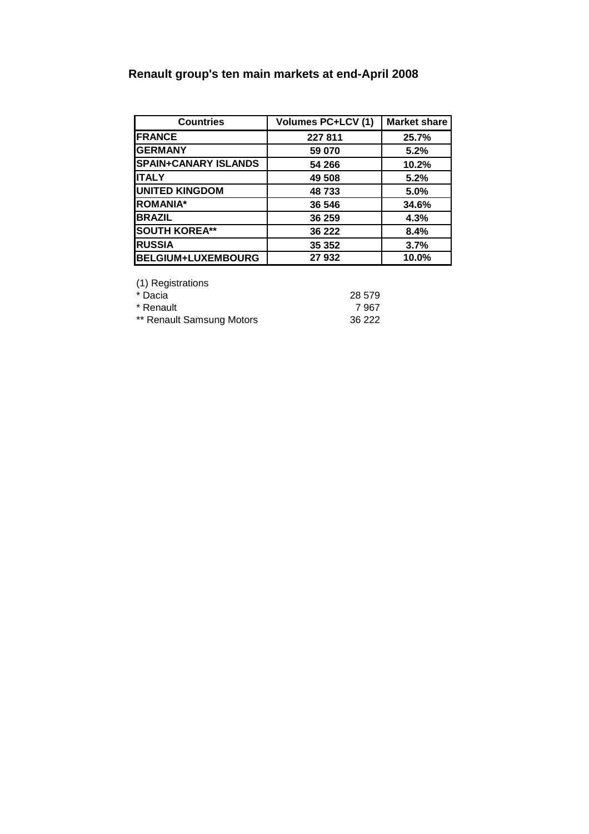# **Renault group's ten main markets at end-April 2008**

| <b>Countries</b>            | <b>Volumes PC+LCV (1)</b> | <b>Market share</b> |
|-----------------------------|---------------------------|---------------------|
| <b>FRANCE</b>               | 227 811                   | 25.7%               |
| <b>GERMANY</b>              | 59 070                    | 5.2%                |
| <b>SPAIN+CANARY ISLANDS</b> | 54 266                    | 10.2%               |
| IITALY                      | 49 508                    | 5.2%                |
| <b>UNITED KINGDOM</b>       | 48733                     | 5.0%                |
| <b>ROMANIA*</b>             | 36 546                    | 34.6%               |
| <b>BRAZIL</b>               | 36 259                    | 4.3%                |
| <b>SOUTH KOREA**</b>        | 36 222                    | 8.4%                |
| <b>RUSSIA</b>               | 35 352                    | 3.7%                |
| <b>BELGIUM+LUXEMBOURG</b>   | 27 932                    | 10.0%               |

(1) Registrations

| * Dacia                   | 28 579 |
|---------------------------|--------|
| * Renault                 | 7967   |
| ** Renault Samsung Motors | 36 222 |